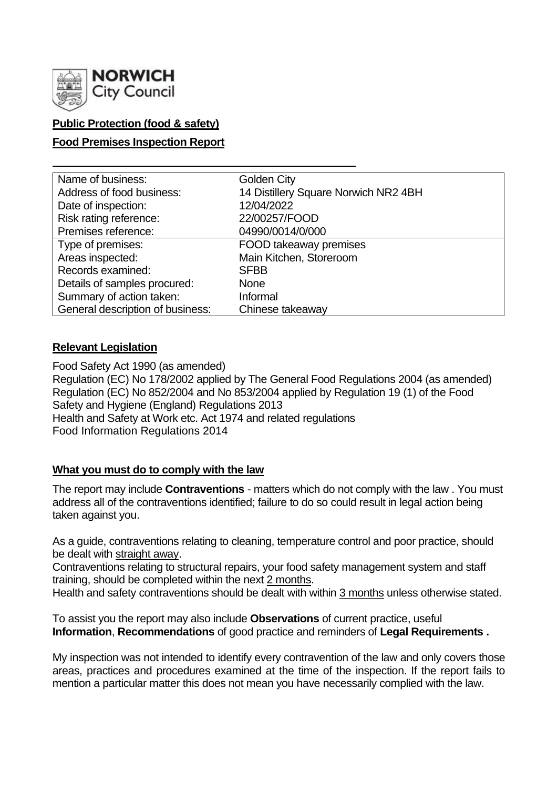

## **Public Protection (food & safety)**

## **Food Premises Inspection Report**

| Name of business:                | <b>Golden City</b>                   |
|----------------------------------|--------------------------------------|
| Address of food business:        | 14 Distillery Square Norwich NR2 4BH |
| Date of inspection:              | 12/04/2022                           |
| Risk rating reference:           | 22/00257/FOOD                        |
| Premises reference:              | 04990/0014/0/000                     |
| Type of premises:                | FOOD takeaway premises               |
| Areas inspected:                 | Main Kitchen, Storeroom              |
| Records examined:                | <b>SFBB</b>                          |
| Details of samples procured:     | <b>None</b>                          |
| Summary of action taken:         | Informal                             |
| General description of business: | Chinese takeaway                     |

### **Relevant Legislation**

Food Safety Act 1990 (as amended) Regulation (EC) No 178/2002 applied by The General Food Regulations 2004 (as amended) Regulation (EC) No 852/2004 and No 853/2004 applied by Regulation 19 (1) of the Food Safety and Hygiene (England) Regulations 2013 Health and Safety at Work etc. Act 1974 and related regulations Food Information Regulations 2014

### **What you must do to comply with the law**

The report may include **Contraventions** - matters which do not comply with the law . You must address all of the contraventions identified; failure to do so could result in legal action being taken against you.

As a guide, contraventions relating to cleaning, temperature control and poor practice, should be dealt with straight away.

Contraventions relating to structural repairs, your food safety management system and staff training, should be completed within the next 2 months.

Health and safety contraventions should be dealt with within 3 months unless otherwise stated.

To assist you the report may also include **Observations** of current practice, useful **Information**, **Recommendations** of good practice and reminders of **Legal Requirements .**

My inspection was not intended to identify every contravention of the law and only covers those areas, practices and procedures examined at the time of the inspection. If the report fails to mention a particular matter this does not mean you have necessarily complied with the law.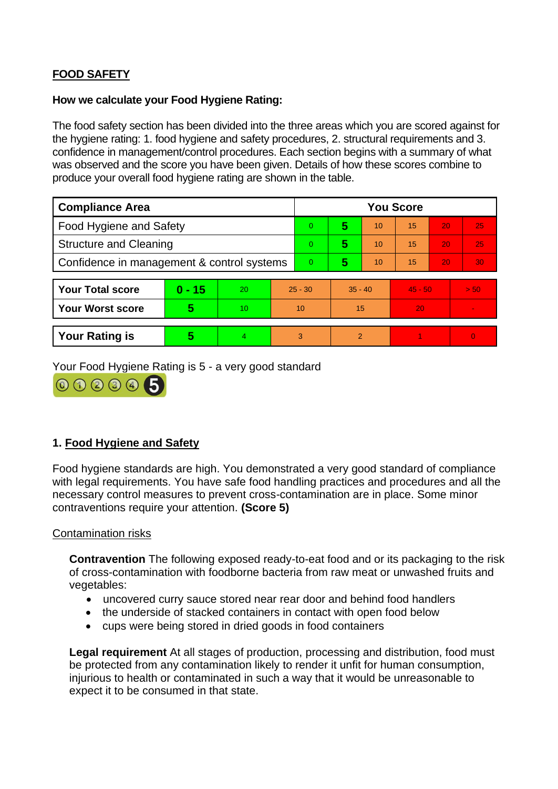# **FOOD SAFETY**

### **How we calculate your Food Hygiene Rating:**

The food safety section has been divided into the three areas which you are scored against for the hygiene rating: 1. food hygiene and safety procedures, 2. structural requirements and 3. confidence in management/control procedures. Each section begins with a summary of what was observed and the score you have been given. Details of how these scores combine to produce your overall food hygiene rating are shown in the table.

| <b>Compliance Area</b>                     |          |    |           | <b>You Score</b> |               |    |           |                 |          |
|--------------------------------------------|----------|----|-----------|------------------|---------------|----|-----------|-----------------|----------|
| Food Hygiene and Safety                    |          |    |           | 0                | 5             | 10 | 15        | 20              | 25       |
| <b>Structure and Cleaning</b>              |          |    | 0         | 5                | 10            | 15 | 20        | 25              |          |
| Confidence in management & control systems |          |    | 0         | 5                | 10            | 15 | 20        | 30 <sub>1</sub> |          |
|                                            |          |    |           |                  |               |    |           |                 |          |
| <b>Your Total score</b>                    | $0 - 15$ | 20 | $25 - 30$ |                  | $35 - 40$     |    | $45 - 50$ |                 | > 50     |
| <b>Your Worst score</b>                    | 5        | 10 | 10        |                  | 15            |    | 20        |                 |          |
|                                            |          |    |           |                  |               |    |           |                 |          |
| <b>Your Rating is</b>                      | 5        |    |           | 3                | $\mathcal{P}$ |    |           |                 | $\Omega$ |

Your Food Hygiene Rating is 5 - a very good standard



## **1. Food Hygiene and Safety**

Food hygiene standards are high. You demonstrated a very good standard of compliance with legal requirements. You have safe food handling practices and procedures and all the necessary control measures to prevent cross-contamination are in place. Some minor contraventions require your attention. **(Score 5)**

### Contamination risks

**Contravention** The following exposed ready-to-eat food and or its packaging to the risk of cross-contamination with foodborne bacteria from raw meat or unwashed fruits and vegetables:

- uncovered curry sauce stored near rear door and behind food handlers
- the underside of stacked containers in contact with open food below
- cups were being stored in dried goods in food containers

**Legal requirement** At all stages of production, processing and distribution, food must be protected from any contamination likely to render it unfit for human consumption, injurious to health or contaminated in such a way that it would be unreasonable to expect it to be consumed in that state.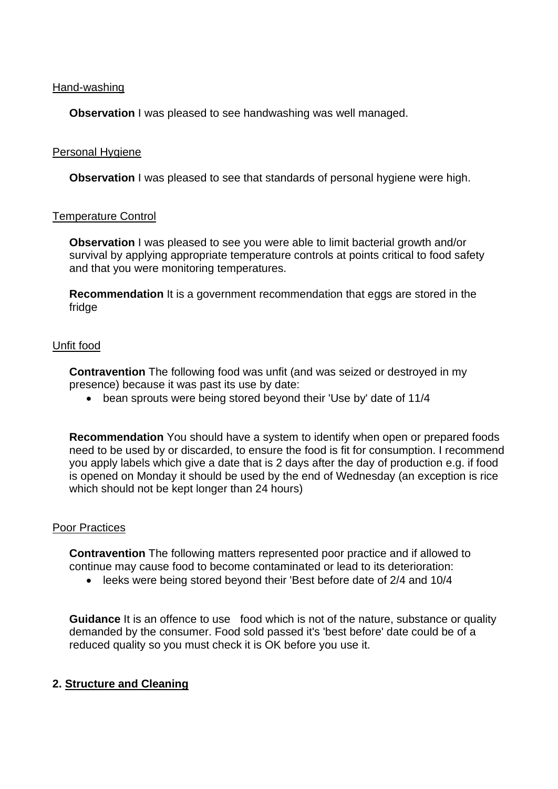Hand-washing

**Observation** I was pleased to see handwashing was well managed.

### Personal Hygiene

**Observation** I was pleased to see that standards of personal hygiene were high.

### Temperature Control

**Observation** I was pleased to see you were able to limit bacterial growth and/or survival by applying appropriate temperature controls at points critical to food safety and that you were monitoring temperatures.

**Recommendation** It is a government recommendation that eggs are stored in the fridge

### Unfit food

**Contravention** The following food was unfit (and was seized or destroyed in my presence) because it was past its use by date:

• bean sprouts were being stored beyond their 'Use by' date of 11/4

**Recommendation** You should have a system to identify when open or prepared foods need to be used by or discarded, to ensure the food is fit for consumption. I recommend you apply labels which give a date that is 2 days after the day of production e.g. if food is opened on Monday it should be used by the end of Wednesday (an exception is rice which should not be kept longer than 24 hours)

#### Poor Practices

**Contravention** The following matters represented poor practice and if allowed to continue may cause food to become contaminated or lead to its deterioration:

• leeks were being stored beyond their 'Best before date of 2/4 and 10/4

**Guidance** It is an offence to use food which is not of the nature, substance or quality demanded by the consumer. Food sold passed it's 'best before' date could be of a reduced quality so you must check it is OK before you use it.

### **2. Structure and Cleaning**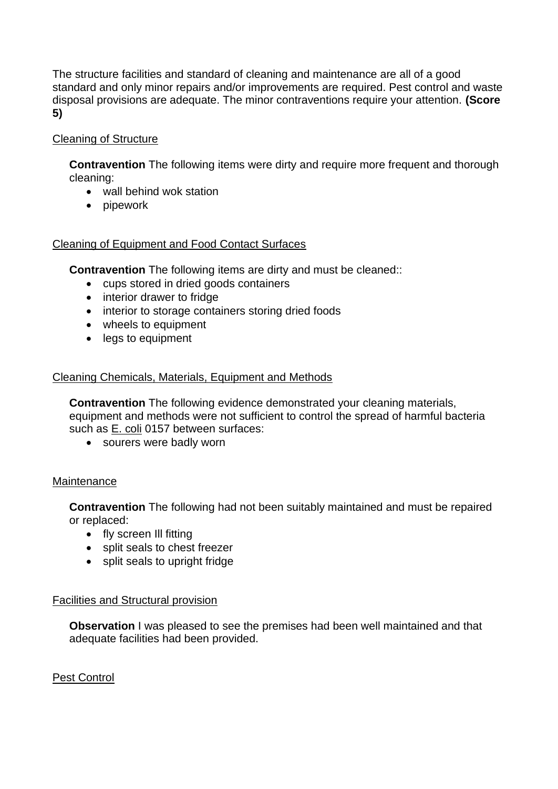The structure facilities and standard of cleaning and maintenance are all of a good standard and only minor repairs and/or improvements are required. Pest control and waste disposal provisions are adequate. The minor contraventions require your attention. **(Score 5)**

## Cleaning of Structure

**Contravention** The following items were dirty and require more frequent and thorough cleaning:

- wall behind wok station
- pipework

### Cleaning of Equipment and Food Contact Surfaces

**Contravention** The following items are dirty and must be cleaned::

- cups stored in dried goods containers
- interior drawer to fridge
- interior to storage containers storing dried foods
- wheels to equipment
- legs to equipment

## Cleaning Chemicals, Materials, Equipment and Methods

**Contravention** The following evidence demonstrated your cleaning materials, equipment and methods were not sufficient to control the spread of harmful bacteria such as E. coli 0157 between surfaces:

• sourers were badly worn

### Maintenance

**Contravention** The following had not been suitably maintained and must be repaired or replaced:

- fly screen III fitting
- split seals to chest freezer
- split seals to upright fridge

### Facilities and Structural provision

**Observation** I was pleased to see the premises had been well maintained and that adequate facilities had been provided.

### Pest Control